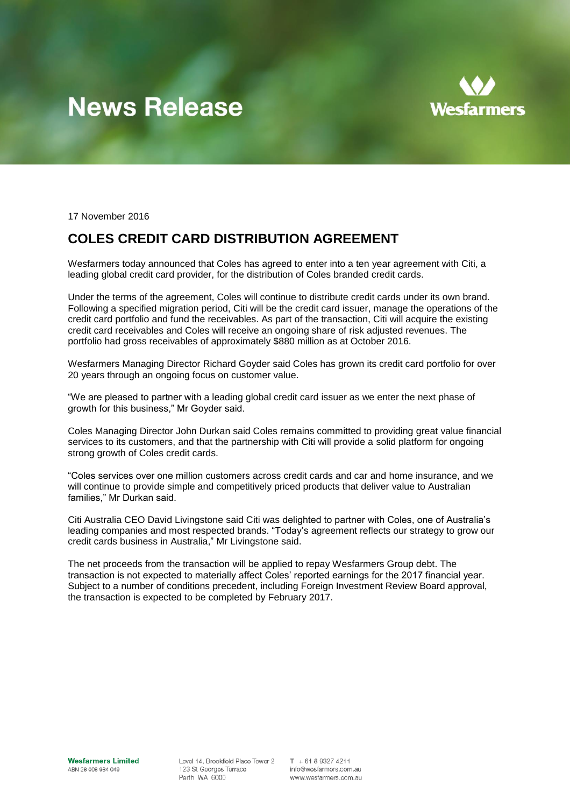## **News Release**



17 November 2016

### **COLES CREDIT CARD DISTRIBUTION AGREEMENT**

Wesfarmers today announced that Coles has agreed to enter into a ten year agreement with Citi, a leading global credit card provider, for the distribution of Coles branded credit cards.

Under the terms of the agreement, Coles will continue to distribute credit cards under its own brand. Following a specified migration period, Citi will be the credit card issuer, manage the operations of the credit card portfolio and fund the receivables. As part of the transaction, Citi will acquire the existing credit card receivables and Coles will receive an ongoing share of risk adjusted revenues. The portfolio had gross receivables of approximately \$880 million as at October 2016.

Wesfarmers Managing Director Richard Goyder said Coles has grown its credit card portfolio for over 20 years through an ongoing focus on customer value.

"We are pleased to partner with a leading global credit card issuer as we enter the next phase of growth for this business," Mr Goyder said.

Coles Managing Director John Durkan said Coles remains committed to providing great value financial services to its customers, and that the partnership with Citi will provide a solid platform for ongoing strong growth of Coles credit cards.

"Coles services over one million customers across credit cards and car and home insurance, and we will continue to provide simple and competitively priced products that deliver value to Australian families," Mr Durkan said.

Citi Australia CEO David Livingstone said Citi was delighted to partner with Coles, one of Australia's leading companies and most respected brands. "Today's agreement reflects our strategy to grow our credit cards business in Australia," Mr Livingstone said.

The net proceeds from the transaction will be applied to repay Wesfarmers Group debt. The transaction is not expected to materially affect Coles' reported earnings for the 2017 financial year. Subject to a number of conditions precedent, including Foreign Investment Review Board approval, the transaction is expected to be completed by February 2017.

Level 14, Brookfield Place Tower 2 123 St Georges Terrace Perth WA 6000

 $T + 61893274211$ info@wesfarmers.com.au www.wesfarmers.com.au